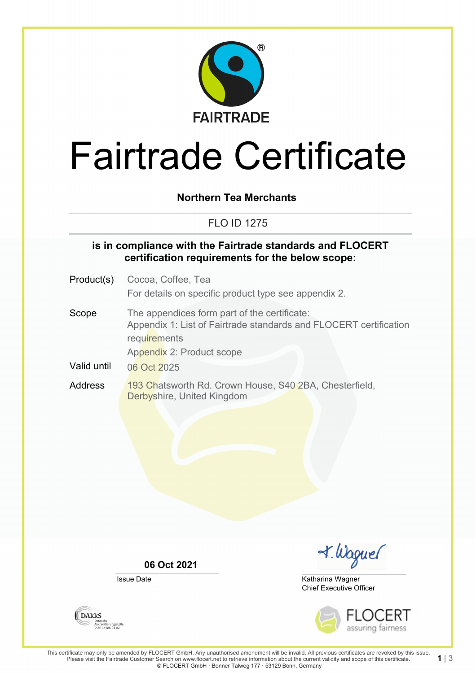

# Fairtrade Certificate

## **Northern Tea Merchants**

# FLO ID 1275

### **is in compliance with the Fairtrade standards and FLOCERT certification requirements for the below scope:**

- Product(s) Cocoa, Coffee, Tea For details on specific product type see appendix 2.
- Scope The appendices form part of the certificate: Appendix 1: List of Fairtrade standards and FLOCERT certification **requirements** Appendix 2: Product scope
- Valid until 06 Oct 2025
- Address 193 Chatsworth Rd. Crown House, S40 2BA, Chesterfield, Derbyshire, United Kingdom

**06 Oct 2021**

Issue Date



Chief Executive Officer Katharina Wagner



**DAKKS** Akkreditierungsstelle<br>D-ZE-14408-01-00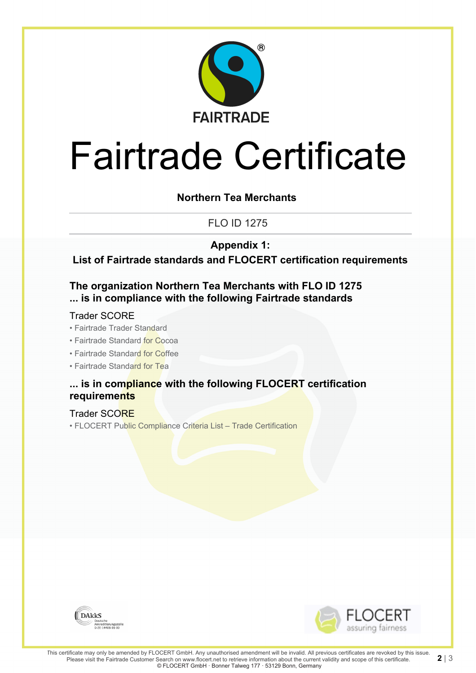

# Fairtrade Certificate

## **Northern Tea Merchants**

FLO ID 1275

**Appendix 1:**

**List of Fairtrade standards and FLOCERT certification requirements**

## **The organization Northern Tea Merchants with FLO ID 1275 ... is in compliance with the following Fairtrade standards**

#### Trader SCORE

- Fairtrade Trader Standard
- Fairtrade Standard for Cocoa
- Fairtrade Standard for Coffee
- Fairtrade Standard for Tea

## **... is in compliance with the following FLOCERT certification requirements**

Trader SCORE

• FLOCERT Public Compliance Criteria List – Trade Certification